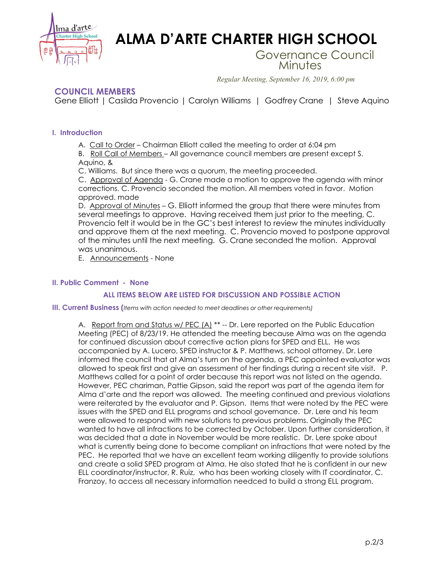

# **ALMA D'ARTE CHARTER HIGH SCHOOL**

Governance Council Minutes

*Regular Meeting, September 16, 2019, 6:00 pm*

## **COUNCIL MEMBERS**

Gene Elliott | Casilda Provencio | Carolyn Williams | Godfrey Crane | Steve Aquino

#### **I. Introduction**

A. Call to Order – Chairman Elliott called the meeting to order at 6:04 pm

B. Roll Call of Members – All governance council members are present except S. Aquino, &

C. Williams. But since there was a quorum, the meeting proceeded.

C. Approval of Agenda - G. Crane made a motion to approve the agenda with minor corrections. C. Provencio seconded the motion. All members voted in favor. Motion approved. made

D. Approval of Minutes – G. Elliott informed the group that there were minutes from several meetings to approve. Having received them just prior to the meeting, C. Provencio felt it would be in the GC's best interest to review the minutes individually and approve them at the next meeting. C. Provencio moved to postpone approval of the minutes until the next meeting. G. Crane seconded the motion. Approval was unanimous.

E. Announcements - None

### **II. Public Comment - None**

#### **ALL ITEMS BELOW ARE LISTED FOR DISCUSSION AND POSSIBLE ACTION**

**III. Current Business (***Items with action needed to meet deadlines or other requirements)*

A. Report from and Status w/ PEC (A) \*\* -- Dr. Lere reported on the Public Education Meeting (PEC) of 8/23/19. He attended the meeting because Alma was on the agenda for continued discussion about corrective action plans for SPED and ELL. He was accompanied by A. Lucero, SPED instructor & P. Matthews, school attorney. Dr. Lere informed the council that at Alma's turn on the agenda, a PEC appointed evaluator was allowed to speak first and give an assessment of her findings during a recent site visit. P. Matthews called for a point of order because this report was not listed on the agenda. However, PEC chariman, Pattie Gipson, said the report was part of the agenda item for Alma d'arte and the report was allowed. The meeting continued and previous violations were reiterated by the evaluator and P. Gipson. Items that were noted by the PEC were issues with the SPED and ELL programs and school governance. Dr. Lere and his team were allowed to respond with new solutions to previous problems. Originally the PEC wanted to have all infractions to be corrected by October. Upon further consideration, it was decided that a date in November would be more realistic. Dr. Lere spoke about what is currently being done to become compliant on infractions that were noted by the PEC. He reported that we have an excellent team working diligently to provide solutions and create a solid SPED program at Alma. He also stated that he is confident in our new ELL coordinator/instructor, R. Ruiz, who has been working closely with IT coordinator, C. Franzoy, to access all necessary information needced to build a strong ELL program.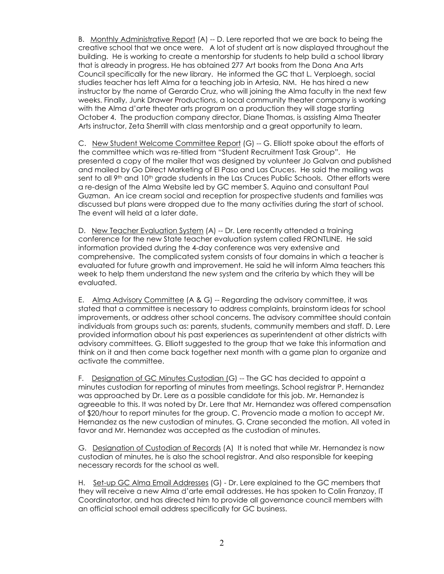B. Monthly Administrative Report (A) -- D. Lere reported that we are back to being the creative school that we once were. A lot of student art is now displayed throughout the building. He is working to create a mentorship for students to help build a school library that is already in progress. He has obtained 277 Art books from the Dona Ana Arts Council specifically for the new library. He informed the GC that L. Verploegh, social studies teacher has left Alma for a teaching job in Artesia, NM. He has hired a new instructor by the name of Gerardo Cruz, who will joining the Alma faculty in the next few weeks. Finally, Junk Drawer Productions, a local community theater company is working with the Alma d'arte theater arts program on a production they will stage starting October 4. The production company director, Diane Thomas, is assisting Alma Theater Arts instructor, Zeta Sherrill with class mentorship and a great opportunity to learn.

C. New Student Welcome Committee Report (G) -- G. Elliott spoke about the efforts of the committee which was re-titled from "Student Recruitment Task Group". He presented a copy of the mailer that was designed by volunteer Jo Galvan and published and mailed by Go Direct Marketing of El Paso and Las Cruces. He said the mailing was sent to all 9<sup>th</sup> and 10<sup>th</sup> grade students in the Las Cruces Public Schools. Other efforts were a re-design of the Alma Website led by GC member S. Aquino and consultant Paul Guzman. An ice cream social and reception for prospective students and families was discussed but plans were dropped due to the many activities during the start of school. The event will held at a later date.

D. New Teacher Evaluation System (A) -- Dr. Lere recently attended a training conference for the new State teacher evaluation system called FRONTLINE. He said information provided during the 4-day conference was very extensive and comprehensive. The complicated system consists of four domains in which a teacher is evaluated for future growth and improvement. He said he will inform Alma teachers this week to help them understand the new system and the criteria by which they will be evaluated.

E. Alma Advisory Committee (A & G) -- Regarding the advisory committee, it was stated that a committee is necessary to address complaints, brainstorm ideas for school improvements, or address other school concerns. The advisory committee should contain individuals from groups such as: parents, students, community members and staff. D. Lere provided information about his past experiences as superintendent at other districts with advisory committees. G. Elliott suggested to the group that we take this information and think on it and then come back together next month with a game plan to organize and activate the committee.

F. Designation of GC Minutes Custodian (G) -- The GC has decided to appoint a minutes custodian for reporting of minutes from meetings. School registrar P. Hernandez was approached by Dr. Lere as a possible candidate for this job. Mr. Hernandez is agreeable to this. It was noted by Dr. Lere that Mr. Hernandez was offered compensation of \$20/hour to report minutes for the group. C. Provencio made a motion to accept Mr. Hernandez as the new custodian of minutes. G. Crane seconded the motion. All voted in favor and Mr. Hernandez was accepted as the custodian of minutes.

G. Designation of Custodian of Records (A) It is noted that while Mr. Hernandez is now custodian of minutes, he is also the school registrar. And also responsible for keeping necessary records for the school as well.

H. Set-up GC Alma Email Addresses (G) - Dr. Lere explained to the GC members that they will receive a new Alma d'arte email addresses. He has spoken to Colin Franzoy, IT Coordinatortor, and has directed him to provide all governance council members with an official school email address specifically for GC business.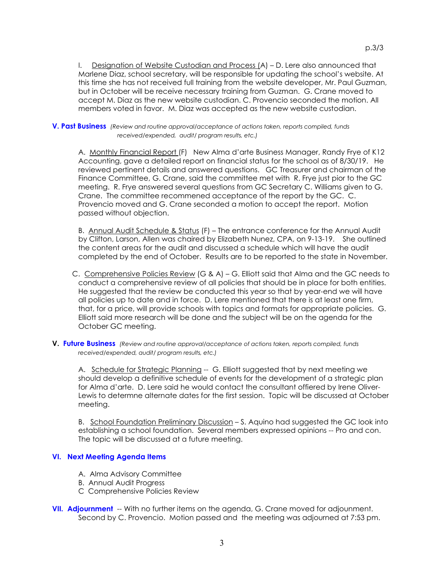I. Designation of Website Custodian and Process (A) – D. Lere also announced that Marlene Diaz, school secretary, will be responsible for updating the school's website. At this time she has not received full training from the website developer, Mr. Paul Guzman, but in October will be receive necessary training from Guzman. G. Crane moved to accept M. Diaz as the new website custodian. C. Provencio seconded the motion. All members voted in favor. M. Diaz was accepted as the new website custodian.

**V. Past Business** *(Review and routine approval/acceptance of actions taken, reports compiled, funds received/expended, audit/ program results, etc.)*

A. Monthly Financial Report (F) New Alma d'arte Business Manager, Randy Frye of K12 Accounting, gave a detailed report on financial status for the school as of 8/30/19. He reviewed pertinent details and answered questions. GC Treasurer and chairman of the Finance Committee, G. Crane, said the committee met with R. Frye just pior to the GC meeting. R. Frye answered several questions from GC Secretary C. Williams given to G. Crane. The committee recommened acceptance of the report by the GC. C. Provencio moved and G. Crane seconded a motion to accept the report. Motion passed without objection.

B. Annual Audit Schedule & Status (F) – The entrance conference for the Annual Audit by Clifton, Larson, Allen was chaired by Elizabeth Nunez, CPA, on 9-13-19. She outlined the content areas for the audit and discussed a schedule which will have the audit completed by the end of October. Results are to be reported to the state in November.

- C. Comprehensive Policies Review (G & A) G. Elliott said that Alma and the GC needs to conduct a comprehensive review of all policies that should be in place for both entities. He suggested that the review be conducted this year so that by year-end we will have all policies up to date and in force. D. Lere mentioned that there is at least one firm, that, for a price, will provide schools with topics and formats for appropriate policies. G. Elliott said more research will be done and the subject will be on the agenda for the October GC meeting.
- **V. Future Business** *(Review and routine approval/acceptance of actions taken, reports compiled, funds received/expended, audit/ program results, etc.)*

A. Schedule for Strategic Planning -- G. Elliott suggested that by next meeting we should develop a definitive schedule of events for the development of a strategic plan for Alma d'arte. D. Lere said he would contact the consultant offiered by Irene Oliver-Lewis to determne alternate dates for the first session. Topic will be discussed at October meeting.

B. School Foundation Preliminary Discussion - S. Aquino had suggested the GC look into establishing a school foundation. Several members expressed opinions -- Pro and con. The topic will be discussed at a future meeting.

#### **VI. Next Meeting Agenda Items**

- A. Alma Advisory Committee
- B. Annual Audit Progress
- C Comprehensive Policies Review
- **VII. Adjournment** -- With no further items on the agenda, G. Crane moved for adjounment. Second by C. Provencio. Motion passed and the meeting was adjourned at 7:53 pm.